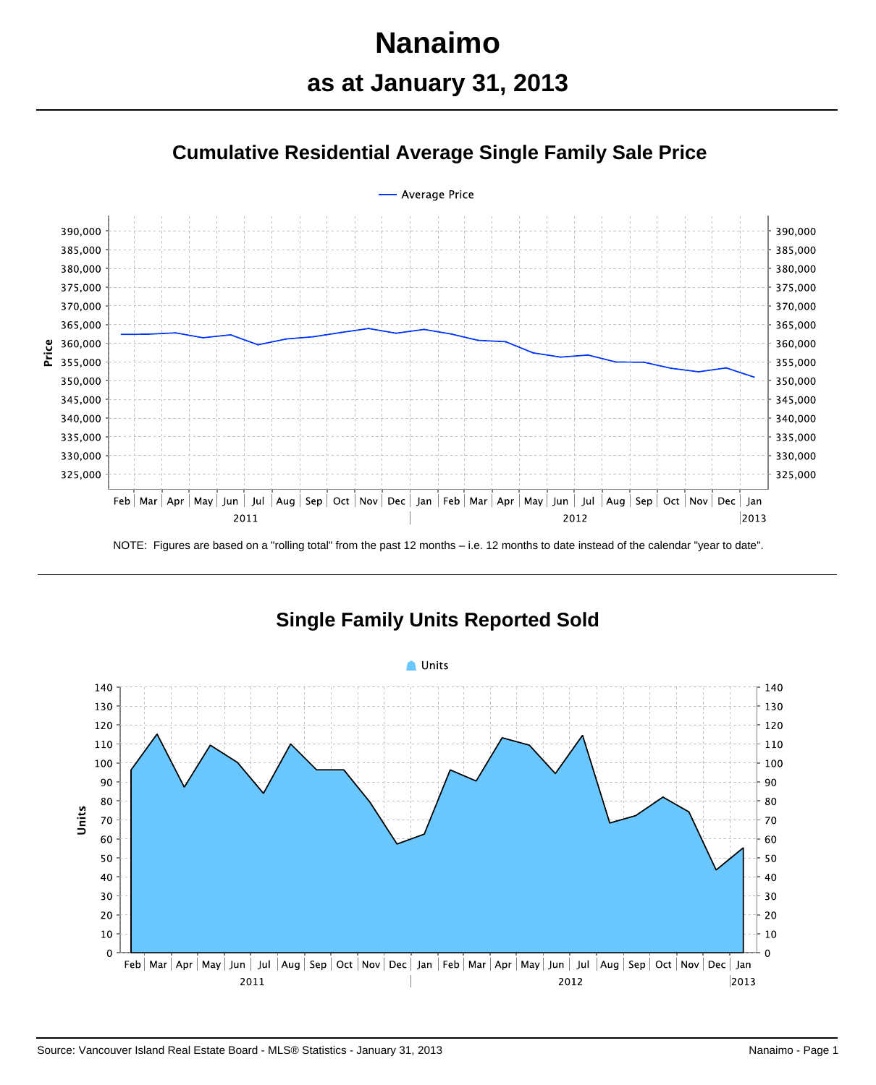# **Nanaimo as at January 31, 2013**





NOTE: Figures are based on a "rolling total" from the past 12 months – i.e. 12 months to date instead of the calendar "year to date".

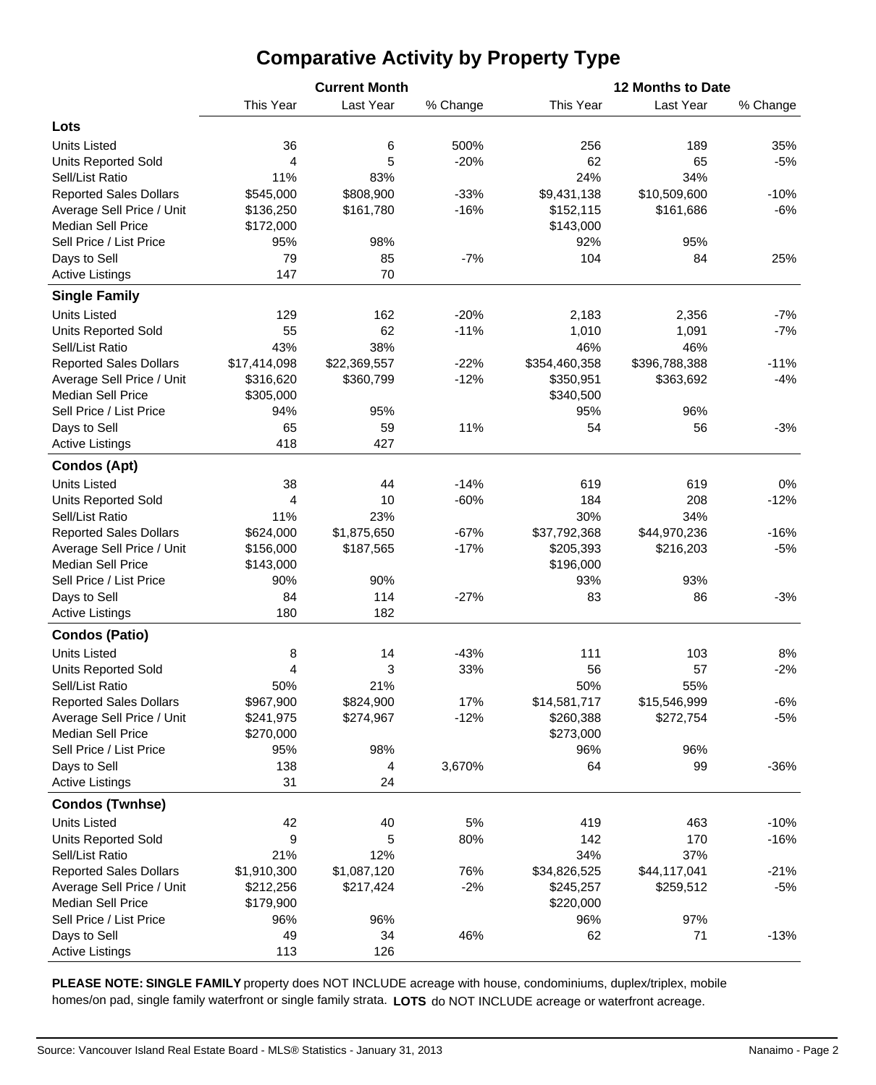### **Comparative Activity by Property Type**

|                               |              | <b>Current Month</b> |          | <b>12 Months to Date</b> |               |          |  |  |  |
|-------------------------------|--------------|----------------------|----------|--------------------------|---------------|----------|--|--|--|
|                               | This Year    | Last Year            | % Change | This Year                | Last Year     | % Change |  |  |  |
| Lots                          |              |                      |          |                          |               |          |  |  |  |
| <b>Units Listed</b>           | 36           | 6                    | 500%     | 256                      | 189           | 35%      |  |  |  |
| <b>Units Reported Sold</b>    | 4            | 5                    | $-20%$   | 62                       | 65            | $-5%$    |  |  |  |
| Sell/List Ratio               | 11%          | 83%                  |          | 24%                      | 34%           |          |  |  |  |
| <b>Reported Sales Dollars</b> | \$545,000    | \$808,900            | $-33%$   | \$9,431,138              | \$10,509,600  | $-10%$   |  |  |  |
| Average Sell Price / Unit     | \$136,250    | \$161,780            | $-16%$   | \$152,115                | \$161,686     | $-6%$    |  |  |  |
| <b>Median Sell Price</b>      | \$172,000    |                      |          | \$143,000                |               |          |  |  |  |
| Sell Price / List Price       | 95%          | 98%                  |          | 92%                      | 95%           |          |  |  |  |
| Days to Sell                  | 79           | 85                   | $-7%$    | 104                      | 84            | 25%      |  |  |  |
| <b>Active Listings</b>        | 147          | 70                   |          |                          |               |          |  |  |  |
| <b>Single Family</b>          |              |                      |          |                          |               |          |  |  |  |
|                               |              |                      |          |                          |               |          |  |  |  |
| <b>Units Listed</b>           | 129          | 162                  | $-20%$   | 2,183                    | 2,356         | $-7%$    |  |  |  |
| <b>Units Reported Sold</b>    | 55           | 62                   | $-11%$   | 1,010                    | 1,091         | $-7%$    |  |  |  |
| Sell/List Ratio               | 43%          | 38%                  |          | 46%                      | 46%           |          |  |  |  |
| <b>Reported Sales Dollars</b> | \$17,414,098 | \$22,369,557         | $-22%$   | \$354,460,358            | \$396,788,388 | $-11%$   |  |  |  |
| Average Sell Price / Unit     | \$316,620    | \$360,799            | $-12%$   | \$350,951                | \$363,692     | $-4%$    |  |  |  |
| <b>Median Sell Price</b>      | \$305,000    |                      |          | \$340,500                |               |          |  |  |  |
| Sell Price / List Price       | 94%          | 95%                  |          | 95%                      | 96%           |          |  |  |  |
| Days to Sell                  | 65           | 59                   | 11%      | 54                       | 56            | $-3%$    |  |  |  |
| <b>Active Listings</b>        | 418          | 427                  |          |                          |               |          |  |  |  |
| <b>Condos (Apt)</b>           |              |                      |          |                          |               |          |  |  |  |
| <b>Units Listed</b>           | 38           | 44                   | $-14%$   | 619                      | 619           | 0%       |  |  |  |
| <b>Units Reported Sold</b>    | 4            | 10                   | $-60%$   | 184                      | 208           | $-12%$   |  |  |  |
| Sell/List Ratio               | 11%          | 23%                  |          | 30%                      | 34%           |          |  |  |  |
| <b>Reported Sales Dollars</b> | \$624,000    | \$1,875,650          | $-67%$   | \$37,792,368             | \$44,970,236  | $-16%$   |  |  |  |
| Average Sell Price / Unit     | \$156,000    | \$187,565            | $-17%$   | \$205,393                | \$216,203     | $-5%$    |  |  |  |
| <b>Median Sell Price</b>      | \$143,000    |                      |          | \$196,000                |               |          |  |  |  |
| Sell Price / List Price       | 90%          | 90%                  |          | 93%                      | 93%           |          |  |  |  |
| Days to Sell                  | 84           | 114                  | $-27%$   | 83                       | 86            | $-3%$    |  |  |  |
| <b>Active Listings</b>        | 180          | 182                  |          |                          |               |          |  |  |  |
| <b>Condos (Patio)</b>         |              |                      |          |                          |               |          |  |  |  |
| <b>Units Listed</b>           | 8            | 14                   | $-43%$   | 111                      | 103           | 8%       |  |  |  |
| <b>Units Reported Sold</b>    | 4            | 3                    | 33%      | 56                       | 57            | $-2%$    |  |  |  |
| Sell/List Ratio               | 50%          | 21%                  |          | 50%                      | 55%           |          |  |  |  |
| <b>Reported Sales Dollars</b> | \$967,900    | \$824,900            | 17%      | \$14,581,717             | \$15,546,999  | $-6%$    |  |  |  |
| Average Sell Price / Unit     | \$241,975    | \$274,967            | $-12%$   | \$260,388                | \$272,754     | $-5%$    |  |  |  |
| <b>Median Sell Price</b>      | \$270,000    |                      |          | \$273,000                |               |          |  |  |  |
| Sell Price / List Price       | 95%          | 98%                  |          | 96%                      | 96%           |          |  |  |  |
| Days to Sell                  | 138          | 4                    | 3,670%   | 64                       | 99            | $-36%$   |  |  |  |
| <b>Active Listings</b>        | 31           | 24                   |          |                          |               |          |  |  |  |
| <b>Condos (Twnhse)</b>        |              |                      |          |                          |               |          |  |  |  |
| <b>Units Listed</b>           | 42           | 40                   | 5%       | 419                      | 463           | $-10%$   |  |  |  |
| <b>Units Reported Sold</b>    | 9            | 5                    | 80%      | 142                      | 170           | $-16%$   |  |  |  |
| Sell/List Ratio               | 21%          | 12%                  |          | 34%                      | 37%           |          |  |  |  |
| <b>Reported Sales Dollars</b> | \$1,910,300  | \$1,087,120          | 76%      | \$34,826,525             | \$44,117,041  | $-21%$   |  |  |  |
| Average Sell Price / Unit     | \$212,256    | \$217,424            | $-2%$    | \$245,257                | \$259,512     | $-5%$    |  |  |  |
| <b>Median Sell Price</b>      | \$179,900    |                      |          | \$220,000                |               |          |  |  |  |
| Sell Price / List Price       | 96%          | 96%                  |          | 96%                      | 97%           |          |  |  |  |
| Days to Sell                  | 49           | 34                   | 46%      | 62                       | 71            | $-13%$   |  |  |  |
| <b>Active Listings</b>        | 113          | 126                  |          |                          |               |          |  |  |  |

**PLEASE NOTE: SINGLE FAMILY** property does NOT INCLUDE acreage with house, condominiums, duplex/triplex, mobile homes/on pad, single family waterfront or single family strata. **LOTS** do NOT INCLUDE acreage or waterfront acreage.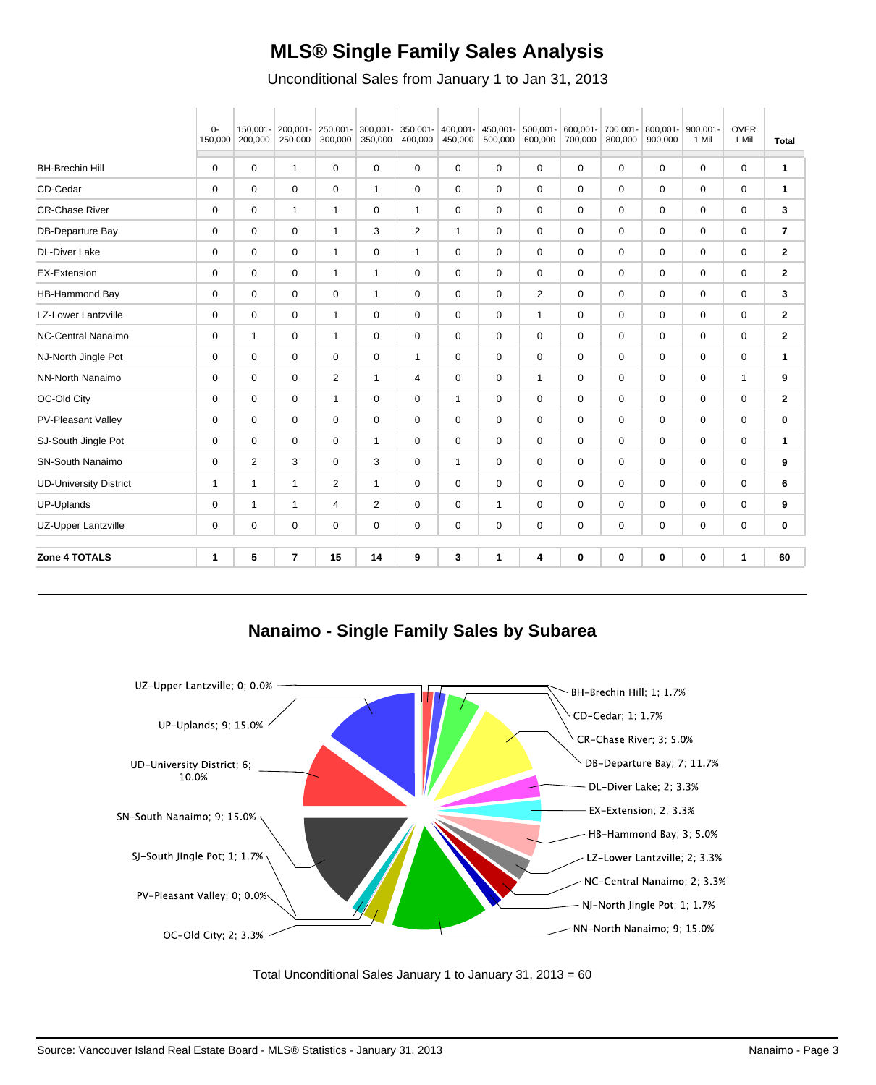## **MLS® Single Family Sales Analysis**

Unconditional Sales from January 1 to Jan 31, 2013

|                               | $0-$<br>150,000 | 150.001-<br>200,000 | 200,001-<br>250,000 | 250,001-<br>300,000 | 300,001-<br>350,000 | 350,001-<br>400,000 | 400,001-<br>450,000 | 450,001-<br>500,000 | $500,001 -$<br>600,000 | 600,001-<br>700,000 | 700,001-<br>800,000 | 800,001-<br>900,000 | 900.001-<br>1 Mil | <b>OVER</b><br>1 Mil | Total          |
|-------------------------------|-----------------|---------------------|---------------------|---------------------|---------------------|---------------------|---------------------|---------------------|------------------------|---------------------|---------------------|---------------------|-------------------|----------------------|----------------|
| <b>BH-Brechin Hill</b>        | 0               | 0                   | $\mathbf{1}$        | 0                   | 0                   | 0                   | 0                   | $\mathbf 0$         | 0                      | 0                   | $\mathbf 0$         | $\mathbf 0$         | 0                 | $\mathbf 0$          | 1              |
| CD-Cedar                      | 0               | 0                   | 0                   | 0                   | $\mathbf{1}$        | 0                   | 0                   | 0                   | 0                      | 0                   | 0                   | 0                   | 0                 | 0                    | 1              |
| <b>CR-Chase River</b>         | 0               | 0                   | $\mathbf{1}$        | $\mathbf{1}$        | $\mathbf 0$         | $\mathbf{1}$        | 0                   | 0                   | 0                      | $\mathbf 0$         | 0                   | 0                   | $\mathbf 0$       | $\mathbf 0$          | 3              |
| DB-Departure Bay              | $\mathbf 0$     | 0                   | 0                   | $\mathbf{1}$        | 3                   | $\overline{2}$      | $\mathbf{1}$        | 0                   | 0                      | 0                   | 0                   | 0                   | 0                 | 0                    | 7              |
| <b>DL-Diver Lake</b>          | 0               | 0                   | 0                   | $\mathbf{1}$        | 0                   | $\mathbf{1}$        | 0                   | 0                   | 0                      | 0                   | 0                   | 0                   | $\Omega$          | 0                    | $\mathbf{2}$   |
| <b>EX-Extension</b>           | 0               | 0                   | 0                   | $\mathbf{1}$        | $\mathbf{1}$        | 0                   | 0                   | 0                   | 0                      | 0                   | 0                   | 0                   | 0                 | 0                    | $\mathbf{2}$   |
| HB-Hammond Bay                | 0               | 0                   | 0                   | 0                   | $\mathbf{1}$        | 0                   | 0                   | 0                   | 2                      | $\mathbf 0$         | 0                   | 0                   | 0                 | 0                    | 3              |
| LZ-Lower Lantzville           | 0               | 0                   | 0                   | $\mathbf{1}$        | 0                   | 0                   | 0                   | 0                   | $\mathbf{1}$           | 0                   | 0                   | 0                   | 0                 | 0                    | $\mathbf{2}$   |
| <b>NC-Central Nanaimo</b>     | 0               | $\mathbf{1}$        | 0                   | $\mathbf{1}$        | $\mathbf 0$         | 0                   | 0                   | $\mathbf 0$         | $\mathbf 0$            | $\mathbf 0$         | $\mathbf 0$         | $\mathbf 0$         | 0                 | $\mathbf 0$          | $\overline{2}$ |
| NJ-North Jingle Pot           | 0               | 0                   | 0                   | 0                   | 0                   | $\mathbf{1}$        | 0                   | 0                   | 0                      | 0                   | 0                   | 0                   | 0                 | 0                    | 1              |
| NN-North Nanaimo              | $\mathbf 0$     | $\mathbf 0$         | $\mathbf 0$         | $\overline{2}$      | $\mathbf{1}$        | 4                   | 0                   | 0                   | $\mathbf{1}$           | 0                   | 0                   | $\mathbf 0$         | 0                 | $\mathbf 1$          | 9              |
| OC-Old City                   | 0               | 0                   | 0                   | $\mathbf{1}$        | 0                   | 0                   | $\mathbf{1}$        | 0                   | 0                      | 0                   | 0                   | 0                   | 0                 | $\mathbf 0$          | $\mathbf{2}$   |
| PV-Pleasant Valley            | $\mathbf 0$     | $\mathbf 0$         | $\mathbf 0$         | $\mathbf 0$         | 0                   | 0                   | 0                   | $\mathbf 0$         | $\mathbf 0$            | 0                   | 0                   | $\mathbf 0$         | $\Omega$          | $\mathbf 0$          | $\mathbf 0$    |
| SJ-South Jingle Pot           | 0               | 0                   | 0                   | 0                   | $\mathbf{1}$        | 0                   | 0                   | 0                   | 0                      | 0                   | 0                   | 0                   | 0                 | 0                    | 1              |
| <b>SN-South Nanaimo</b>       | $\mathbf 0$     | 2                   | 3                   | 0                   | 3                   | 0                   | $\mathbf{1}$        | $\mathbf 0$         | $\mathbf 0$            | 0                   | 0                   | $\mathbf 0$         | 0                 | $\mathbf 0$          | 9              |
| <b>UD-University District</b> | $\mathbf{1}$    | $\mathbf{1}$        | $\mathbf{1}$        | 2                   | $\mathbf{1}$        | 0                   | 0                   | 0                   | 0                      | 0                   | 0                   | 0                   | 0                 | 0                    | 6              |
| UP-Uplands                    | $\mathbf 0$     | $\mathbf{1}$        | $\mathbf{1}$        | 4                   | $\overline{2}$      | 0                   | 0                   | $\mathbf{1}$        | $\mathbf 0$            | 0                   | $\mathbf 0$         | $\mathbf 0$         | 0                 | $\mathbf 0$          | 9              |
| UZ-Upper Lantzville           | 0               | 0                   | 0                   | 0                   | 0                   | 0                   | 0                   | 0                   | 0                      | 0                   | 0                   | 0                   | 0                 | 0                    | 0              |
| Zone 4 TOTALS                 | $\mathbf{1}$    | 5                   | $\overline{7}$      | 15                  | 14                  | 9                   | 3                   | $\mathbf{1}$        | 4                      | $\bf{0}$            | 0                   | 0                   | $\mathbf 0$       | $\mathbf{1}$         | 60             |

**Nanaimo - Single Family Sales by Subarea**



Total Unconditional Sales January 1 to January 31, 2013 = 60